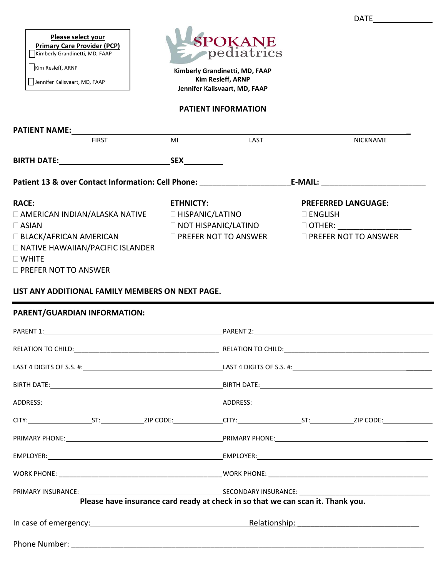| Please select your                 |  |  |  |  |
|------------------------------------|--|--|--|--|
| <b>Primary Care Provider (PCP)</b> |  |  |  |  |
|                                    |  |  |  |  |

Kimberly Grandinetti, MD, FAAP

Kim Resleff, ARNP

Jennifer Kalisvaart, MD, FAAP



**Kimberly Grandinetti, MD, FAAP Kim Resleff, ARNP Jennifer Kalisvaart, MD, FAAP**

### **PATIENT INFORMATION**

| <b>FIRST</b>                                                                                                                                                                                                                                                                                                                 | MI               | LAST |                   | <b>NICKNAME</b>            |
|------------------------------------------------------------------------------------------------------------------------------------------------------------------------------------------------------------------------------------------------------------------------------------------------------------------------------|------------------|------|-------------------|----------------------------|
|                                                                                                                                                                                                                                                                                                                              |                  |      |                   |                            |
| Patient 13 & over Contact Information: Cell Phone: ____________________________E-MAIL: _______________________                                                                                                                                                                                                               |                  |      |                   |                            |
| <b>RACE:</b><br>$\Box$ AMERICAN INDIAN/ALASKA NATIVE $\qquad \Box$ HISPANIC/LATINO<br>$\Box$ ASIAN<br>□ BLACK/AFRICAN AMERICAN DREFER NOT TO ANSWER DREFER NOT TO ANSWER<br><b>NATIVE HAWAIIAN/PACIFIC ISLANDER</b><br>$\square$ WHITE<br><b>DI PREFER NOT TO ANSWER</b><br>LIST ANY ADDITIONAL FAMILY MEMBERS ON NEXT PAGE. | <b>ETHNICTY:</b> |      | $\square$ ENGLISH | <b>PREFERRED LANGUAGE:</b> |
| PARENT/GUARDIAN INFORMATION:                                                                                                                                                                                                                                                                                                 |                  |      |                   |                            |
|                                                                                                                                                                                                                                                                                                                              |                  |      |                   |                            |
|                                                                                                                                                                                                                                                                                                                              |                  |      |                   |                            |
| BIRTH DATE: BIRTH DATE: BIRTH DATE:                                                                                                                                                                                                                                                                                          |                  |      |                   |                            |
|                                                                                                                                                                                                                                                                                                                              |                  |      |                   |                            |
| CITY: ST: ST: ZIP CODE: CITY: ST: ZIP CODE: CITY: ST: ZIP CODE:                                                                                                                                                                                                                                                              |                  |      |                   |                            |
|                                                                                                                                                                                                                                                                                                                              |                  |      |                   |                            |
|                                                                                                                                                                                                                                                                                                                              |                  |      |                   |                            |

WORK PHONE: \_\_\_\_\_\_\_\_\_\_\_\_\_\_\_\_\_\_\_\_\_\_\_\_\_\_\_\_\_\_\_\_\_\_\_\_\_\_\_\_\_\_\_\_\_WORK PHONE: \_\_\_\_\_\_\_\_\_\_\_\_\_\_\_\_\_\_\_\_\_\_\_\_\_\_\_\_\_\_\_\_\_\_\_\_\_\_\_\_\_\_\_\_

PRIMARY INSURANCE: SECONDARY INSURANCE: \_\_\_\_\_\_\_\_\_\_\_\_\_\_\_\_\_\_\_\_\_\_\_\_\_\_\_\_\_\_\_\_\_\_\_\_

**Please have insurance card ready at check in so that we can scan it. Thank you.**

In case of emergency: <u>experiments are constructed</u> and case of emergency:

Phone Number: **with a set of the set of the set of the set of the set of the set of the set of the set of the set of the set of the set of the set of the set of the set of the set of the set of the set of the set of the se** 

DATE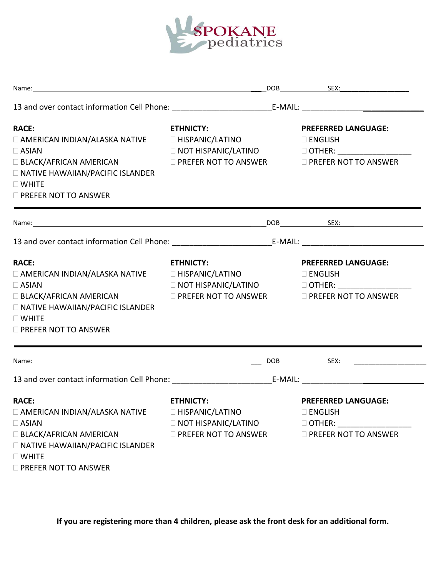

| <b>RACE:</b><br>□ AMERICAN INDIAN/ALASKA NATIVE □ HISPANIC/LATINO<br>$\Box$ ASIAN<br>□ BLACK/AFRICAN AMERICAN □ PREFER NOT TO ANSWER □ PREFER NOT TO ANSWER<br><b>NATIVE HAWAIIAN/PACIFIC ISLANDER</b><br>$\Box$ WHITE<br>$\Box$ PREFER NOT TO ANSWER | <b>ETHNICTY:</b><br>□ NOT HISPANIC/LATINO       □ OTHER: __________________                                     | <b>PREFERRED LANGUAGE:</b><br>$\square$ ENGLISH                                                 |  |
|-------------------------------------------------------------------------------------------------------------------------------------------------------------------------------------------------------------------------------------------------------|-----------------------------------------------------------------------------------------------------------------|-------------------------------------------------------------------------------------------------|--|
|                                                                                                                                                                                                                                                       |                                                                                                                 |                                                                                                 |  |
|                                                                                                                                                                                                                                                       |                                                                                                                 |                                                                                                 |  |
| <b>RACE:</b><br>$\Box$ AMERICAN INDIAN/ALASKA NATIVE $\Box$ HISPANIC/LATINO<br>$\Box$ ASIAN<br>$\Box$ BLACK/AFRICAN AMERICAN<br><b>NATIVE HAWAIIAN/PACIFIC ISLANDER</b><br>$\Box$ WHITE<br>$\Box$ PREFER NOT TO ANSWER                                | <b>ETHNICTY:</b><br><b>NOT HISPANIC/LATINO</b><br>$\square$ PREFER NOT TO ANSWER $\square$ PREFER NOT TO ANSWER | <b>PREFERRED LANGUAGE:</b><br>$\square$ ENGLISH<br>□ OTHER: _______________                     |  |
|                                                                                                                                                                                                                                                       |                                                                                                                 |                                                                                                 |  |
|                                                                                                                                                                                                                                                       |                                                                                                                 |                                                                                                 |  |
| <b>RACE:</b><br><b>NO AMERICAN INDIAN/ALASKA NATIVE</b><br>$\Box$ ASIAN<br><b>BLACK/AFRICAN AMERICAN</b><br><b>NATIVE HAWAIIAN/PACIFIC ISLANDER</b><br>$\Box$ WHITE<br>$\Box$ PREFER NOT TO ANSWER                                                    | <b>ETHNICTY:</b><br>□ HISPANIC/LATINO<br><b>NOT HISPANIC/LATINO</b><br><b>DI PREFER NOT TO ANSWER</b>           | <b>PREFERRED LANGUAGE:</b><br>$\square$ ENGLISH<br>$\Box$ OTHER:<br>$\Box$ PREFER NOT TO ANSWER |  |

**If you are registering more than 4 children, please ask the front desk for an additional form.**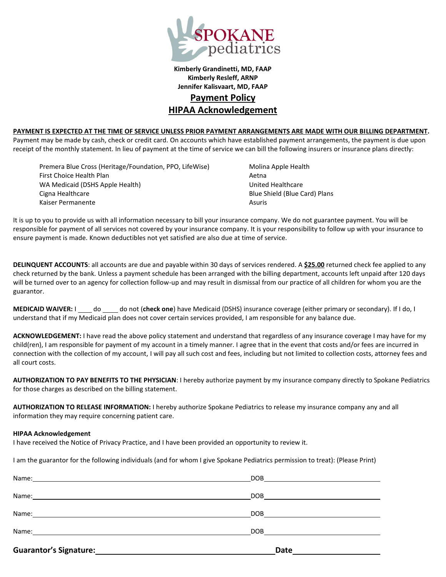

**Kimberly Grandinetti, MD, FAAP Kimberly Resleff, ARNP Jennifer Kalisvaart, MD, FAAP Payment Policy HIPAA Acknowledgement**

#### **PAYMENT IS EXPECTED AT THE TIME OF SERVICE UNLESS PRIOR PAYMENT ARRANGEMENTS ARE MADE WITH OUR BILLING DEPARTMENT.**

Payment may be made by cash, check or credit card. On accounts which have established payment arrangements, the payment is due upon receipt of the monthly statement. In lieu of payment at the time of service we can bill the following insurers or insurance plans directly:

Premera Blue Cross (Heritage/Foundation, PPO, LifeWise) Molina Apple Health First Choice Health Plan Actor Actor Aetna WA Medicaid (DSHS Apple Health) United Healthcare Cigna Healthcare Blue Shield (Blue Card) Plans Kaiser Permanente Asuris Asuris Asuris Asuris Asuris Asuris Asuris Asuris Asuris Asuris Asuris Asuris Asuris A

It is up to you to provide us with all information necessary to bill your insurance company. We do not guarantee payment. You will be responsible for payment of all services not covered by your insurance company. It is your responsibility to follow up with your insurance to ensure payment is made. Known deductibles not yet satisfied are also due at time of service.

**DELINQUENT ACCOUNTS**: all accounts are due and payable within 30 days of services rendered. A **\$25.00** returned check fee applied to any check returned by the bank. Unless a payment schedule has been arranged with the billing department, accounts left unpaid after 120 days will be turned over to an agency for collection follow-up and may result in dismissal from our practice of all children for whom you are the guarantor.

**MEDICAID WAIVER:** I \_\_\_\_ do \_\_\_\_ do not (check one) have Medicaid (DSHS) insurance coverage (either primary or secondary). If I do, I understand that if my Medicaid plan does not cover certain services provided, I am responsible for any balance due.

**ACKNOWLEDGEMENT:** I have read the above policy statement and understand that regardless of any insurance coverage I may have for my child(ren), I am responsible for payment of my account in a timely manner. I agree that in the event that costs and/or fees are incurred in connection with the collection of my account, I will pay all such cost and fees, including but not limited to collection costs, attorney fees and all court costs.

**AUTHORIZATION TO PAY BENEFITS TO THE PHYSICIAN**: I hereby authorize payment by my insurance company directly to Spokane Pediatrics for those charges as described on the billing statement.

**AUTHORIZATION TO RELEASE INFORMATION:** I hereby authorize Spokane Pediatrics to release my insurance company any and all information they may require concerning patient care.

#### **HIPAA Acknowledgement**

I have received the Notice of Privacy Practice, and I have been provided an opportunity to review it.

I am the guarantor for the following individuals (and for whom I give Spokane Pediatrics permission to treat): (Please Print)

| <b>Guarantor's Signature:</b><br><u> 1980 - Jan Sterling von Berger von Berger von Berger von Berger von Berger von Berger von Berger von Berger</u> | Date                            |
|------------------------------------------------------------------------------------------------------------------------------------------------------|---------------------------------|
|                                                                                                                                                      | DOB <u>______________</u>       |
|                                                                                                                                                      | DOB ___________________________ |
|                                                                                                                                                      |                                 |
|                                                                                                                                                      |                                 |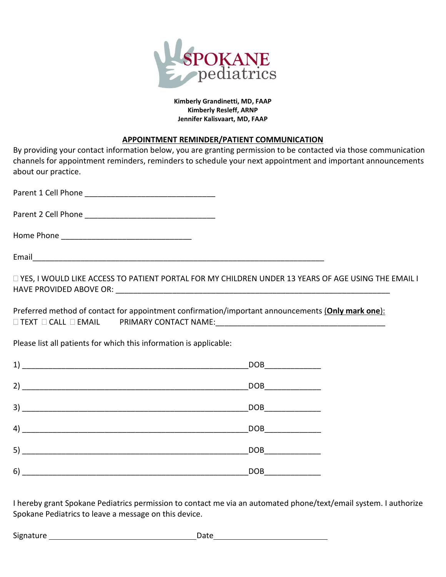

### **Kimberly Grandinetti, MD, FAAP Kimberly Resleff, ARNP Jennifer Kalisvaart, MD, FAAP**

## **APPOINTMENT REMINDER/PATIENT COMMUNICATION**

By providing your contact information below, you are granting permission to be contacted via those communication channels for appointment reminders, reminders to schedule your next appointment and important announcements about our practice.

Parent 1 Cell Phone \_\_\_\_\_\_\_\_\_\_\_\_\_\_\_\_\_\_\_\_\_\_\_\_\_\_\_\_\_\_

Parent 2 Cell Phone **Exercise 2** 

Home Phone

Email

 YES, I WOULD LIKE ACCESS TO PATIENT PORTAL FOR MY CHILDREN UNDER 13 YEARS OF AGE USING THE EMAIL I HAVE PROVIDED ABOVE OR: \_\_\_\_\_\_\_\_\_\_\_\_\_\_\_\_\_\_\_\_\_\_\_\_\_\_\_\_\_\_\_\_\_\_\_\_\_\_\_\_\_\_\_\_\_\_\_\_\_\_\_\_\_\_\_\_\_\_\_\_\_\_\_

Preferred method of contact for appointment confirmation/important announcements (**Only mark one**): TEXT CALL EMAIL PRIMARY CONTACT NAME:\_\_\_\_\_\_\_\_\_\_\_\_\_\_\_\_\_\_\_\_\_\_\_\_\_\_\_\_\_\_\_\_\_\_\_\_\_\_\_

Please list all patients for which this information is applicable:

| 1) | DOB        |
|----|------------|
| 2) | DOB        |
| 3) | <b>DOB</b> |
| 4) | DOB        |
| 5) | <b>DOB</b> |
| 6) | <b>DOB</b> |

I hereby grant Spokane Pediatrics permission to contact me via an automated phone/text/email system. I authorize Spokane Pediatrics to leave a message on this device.

Signature extension of the Date of Date of the Date of the Date of the Date of the Date of the Date of the Date of the Date of the Date of the Date of the Date of the Date of the Date of the Date of the Date of the Date of